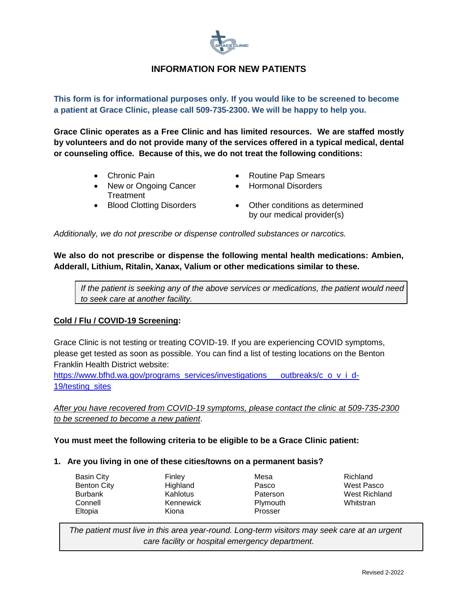

# **INFORMATION FOR NEW PATIENTS**

**This form is for informational purposes only. If you would like to be screened to become a patient at Grace Clinic, please call 509-735-2300. We will be happy to help you.**

**Grace Clinic operates as a Free Clinic and has limited resources. We are staffed mostly by volunteers and do not provide many of the services offered in a typical medical, dental or counseling office. Because of this, we do not treat the following conditions:** 

- 
- New or Ongoing Cancer Treatment
- 
- Chronic Pain **Chronic Pain Chronic Pain Chronic Pap Smears** 
	- Hormonal Disorders
- Blood Clotting Disorders Other conditions as determined by our medical provider(s)

*Additionally, we do not prescribe or dispense controlled substances or narcotics.*

**We also do not prescribe or dispense the following mental health medications: Ambien, Adderall, Lithium, Ritalin, Xanax, Valium or other medications similar to these.**

*If the patient is seeking any of the above services or medications, the patient would need to seek care at another facility.*

## **Cold / Flu / COVID-19 Screening:**

Grace Clinic is not testing or treating COVID-19. If you are experiencing COVID symptoms, please get tested as soon as possible. You can find a list of testing locations on the Benton Franklin Health District website:

[https://www.bfhd.wa.gov/programs\\_services/investigations\\_\\_\\_outbreaks/c\\_o\\_v\\_i\\_d-](https://www.bfhd.wa.gov/programs_services/investigations___outbreaks/c_o_v_i_d-19/testing_sites)[19/testing\\_sites](https://www.bfhd.wa.gov/programs_services/investigations___outbreaks/c_o_v_i_d-19/testing_sites)

*After you have recovered from COVID-19 symptoms, please contact the clinic at 509-735-2300 to be screened to become a new patient*.

## **You must meet the following criteria to be eligible to be a Grace Clinic patient:**

#### **1. Are you living in one of these cities/towns on a permanent basis?**

| Basin City         | <b>Finley</b> | Mesa     | Richland             |
|--------------------|---------------|----------|----------------------|
| <b>Benton City</b> | Highland      | Pasco    | West Pasco           |
| <b>Burbank</b>     | Kahlotus      | Paterson | <b>West Richland</b> |
| Connell            | Kennewick     | Plymouth | Whitstran            |
| Eltopia            | Kiona         | Prosser  |                      |

*The patient must live in this area year-round. Long-term visitors may seek care at an urgent care facility or hospital emergency department.*